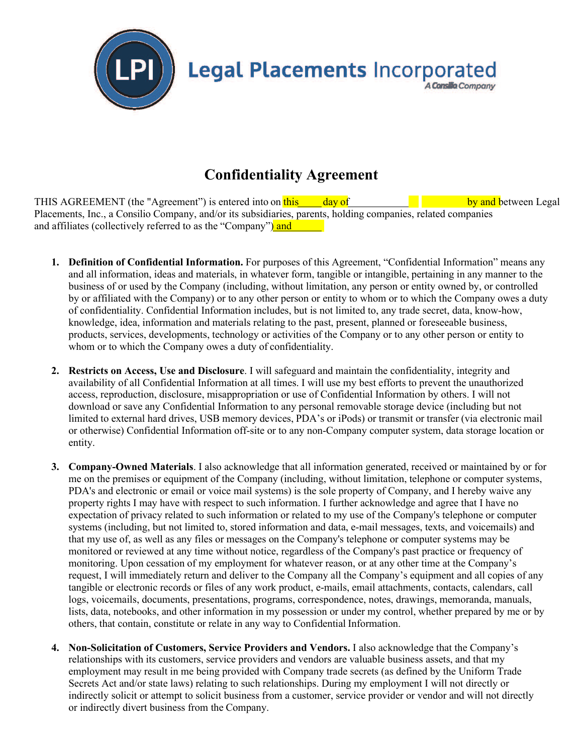

## **Confidentiality Agreement**

THIS AGREEMENT (the "Agreement") is entered into on  $\frac{f \ln s}{s}$  day of by and between Legal Placements, Inc., a Consilio Company, and/or its subsidiaries, parents, holding companies, related companies and affiliates (collectively referred to as the "Company") and

- **1. Definition of Confidential Information.** For purposes of this Agreement, "Confidential Information" means any and all information, ideas and materials, in whatever form, tangible or intangible, pertaining in any manner to the business of or used by the Company (including, without limitation, any person or entity owned by, or controlled by or affiliated with the Company) or to any other person or entity to whom or to which the Company owes a duty of confidentiality. Confidential Information includes, but is not limited to, any trade secret, data, know-how, knowledge, idea, information and materials relating to the past, present, planned or foreseeable business, products, services, developments, technology or activities of the Company or to any other person or entity to whom or to which the Company owes a duty of confidentiality.
- **2. Restricts on Access, Use and Disclosure**. I will safeguard and maintain the confidentiality, integrity and availability of all Confidential Information at all times. I will use my best efforts to prevent the unauthorized access, reproduction, disclosure, misappropriation or use of Confidential Information by others. I will not download or save any Confidential Information to any personal removable storage device (including but not limited to external hard drives, USB memory devices, PDA's or iPods) or transmit or transfer (via electronic mail or otherwise) Confidential Information off-site or to any non-Company computer system, data storage location or entity.
- **3. Company-Owned Materials**. I also acknowledge that all information generated, received or maintained by or for me on the premises or equipment of the Company (including, without limitation, telephone or computer systems, PDA's and electronic or email or voice mail systems) is the sole property of Company, and I hereby waive any property rights I may have with respect to such information. I further acknowledge and agree that I have no expectation of privacy related to such information or related to my use of the Company's telephone or computer systems (including, but not limited to, stored information and data, e-mail messages, texts, and voicemails) and that my use of, as well as any files or messages on the Company's telephone or computer systems may be monitored or reviewed at any time without notice, regardless of the Company's past practice or frequency of monitoring. Upon cessation of my employment for whatever reason, or at any other time at the Company's request, I will immediately return and deliver to the Company all the Company's equipment and all copies of any tangible or electronic records or files of any work product, e-mails, email attachments, contacts, calendars, call logs, voicemails, documents, presentations, programs, correspondence, notes, drawings, memoranda, manuals, lists, data, notebooks, and other information in my possession or under my control, whether prepared by me or by others, that contain, constitute or relate in any way to Confidential Information.
- **4. Non-Solicitation of Customers, Service Providers and Vendors.** I also acknowledge that the Company's relationships with its customers, service providers and vendors are valuable business assets, and that my employment may result in me being provided with Company trade secrets (as defined by the Uniform Trade Secrets Act and/or state laws) relating to such relationships. During my employment I will not directly or indirectly solicit or attempt to solicit business from a customer, service provider or vendor and will not directly or indirectly divert business from the Company.